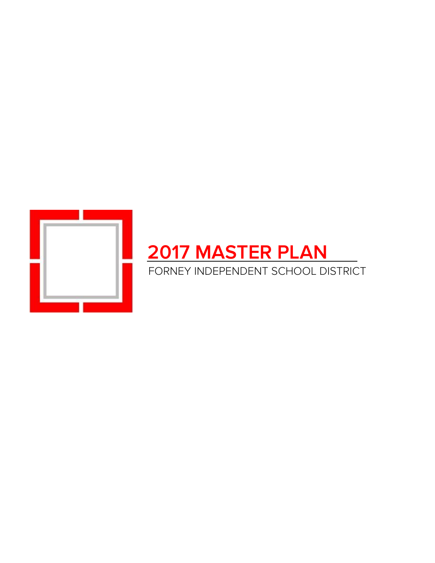

# **2017 MASTER PLAN**

FORNEY INDEPENDENT SCHOOL DISTRICT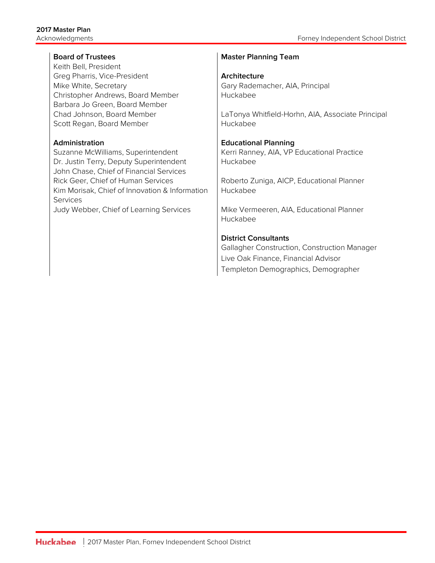Keith Bell, President Greg Pharris, Vice-President **Architecture** Mike White, Secretary **Gary Rademacher, AIA, Principal** Gary Rademacher, AIA, Principal Christopher Andrews, Board Member | Huckabee Barbara Jo Green, Board Member Scott Regan, Board Member Huckabee

Suzanne McWilliams, Superintendent | Kerri Ranney, AIA, VP Educational Practice Dr. Justin Terry, Deputy Superintendent | Huckabee John Chase, Chief of Financial Services Rick Geer, Chief of Human Services | Roberto Zuniga, AICP, Educational Planner Kim Morisak, Chief of Innovation & Information Services

## **Board of Trustees Master Planning Team**

Chad Johnson, Board Member LaTonya Whitfield-Horhn, AIA, Associate Principal

### **Administration Educational Planning**

Huckabee

Judy Webber, Chief of Learning Services | Mike Vermeeren, AIA, Educational Planner Huckabee

### **District Consultants**

Gallagher Construction, Construction Manager Live Oak Finance, Financial Advisor Templeton Demographics, Demographer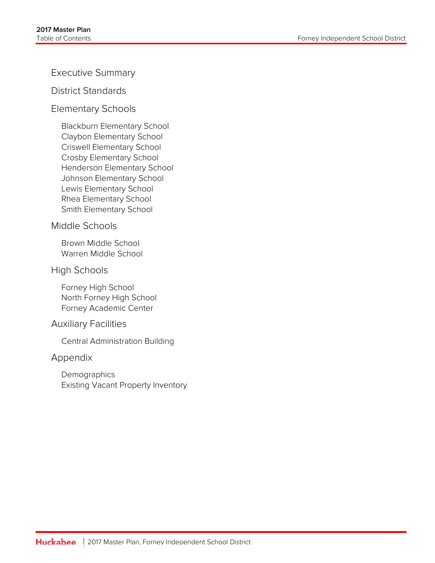Executive Summary

District Standards

Elementary Schools

Blackburn Elementary School Claybon Elementary School Criswell Elementary School Crosby Elementary School Henderson Elementary School Johnson Elementary School Lewis Elementary School Rhea Elementary School Smith Elementary School

# Middle Schools

Brown Middle School Warren Middle School

# High Schools

Forney High School North Forney High School Forney Academic Center

# Auxiliary Facilities

Central Administration Building

# Appendix

Demographics Existing Vacant Property Inventory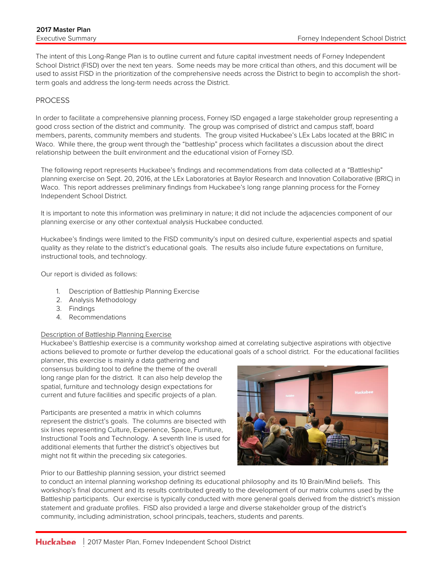The intent of this Long-Range Plan is to outline current and future capital investment needs of Forney Independent School District (FISD) over the next ten years. Some needs may be more critical than others, and this document will be used to assist FISD in the prioritization of the comprehensive needs across the District to begin to accomplish the shortterm goals and address the long-term needs across the District.

#### **PROCESS**

In order to facilitate a comprehensive planning process, Forney ISD engaged a large stakeholder group representing a good cross section of the district and community. The group was comprised of district and campus staff, board members, parents, community members and students. The group visited Huckabee's LEx Labs located at the BRIC in Waco. While there, the group went through the "battleship" process which facilitates a discussion about the direct relationship between the built environment and the educational vision of Forney ISD.

The following report represents Huckabee's findings and recommendations from data collected at a "Battleship" planning exercise on Sept. 20, 2016, at the LEx Laboratories at Baylor Research and Innovation Collaborative (BRIC) in Waco. This report addresses preliminary findings from Huckabee's long range planning process for the Forney Independent School District.

It is important to note this information was preliminary in nature; it did not include the adjacencies component of our planning exercise or any other contextual analysis Huckabee conducted.

Huckabee's findings were limited to the FISD community's input on desired culture, experiential aspects and spatial quality as they relate to the district's educational goals. The results also include future expectations on furniture, instructional tools, and technology.

Our report is divided as follows:

- 1. Description of Battleship Planning Exercise
- 2. Analysis Methodology
- 3. Findings
- 4. Recommendations

#### Description of Battleship Planning Exercise

Huckabee's Battleship exercise is a community workshop aimed at correlating subjective aspirations with objective actions believed to promote or further develop the educational goals of a school district. For the educational facilities

planner, this exercise is mainly a data gathering and consensus building tool to define the theme of the overall long range plan for the district. It can also help develop the spatial, furniture and technology design expectations for current and future facilities and specific projects of a plan.

Participants are presented a matrix in which columns represent the district's goals. The columns are bisected with six lines representing Culture, Experience, Space, Furniture, Instructional Tools and Technology. A seventh line is used for additional elements that further the district's objectives but might not fit within the preceding six categories.

Prior to our Battleship planning session, your district seemed



to conduct an internal planning workshop defining its educational philosophy and its 10 Brain/Mind beliefs. This workshop's final document and its results contributed greatly to the development of our matrix columns used by the Battleship participants. Our exercise is typically conducted with more general goals derived from the district's mission statement and graduate profiles. FISD also provided a large and diverse stakeholder group of the district's community, including administration, school principals, teachers, students and parents.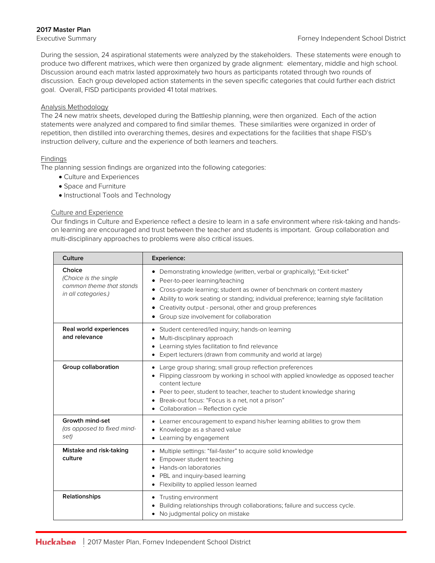#### **2017 Master Plan**

During the session, 24 aspirational statements were analyzed by the stakeholders. These statements were enough to produce two different matrixes, which were then organized by grade alignment: elementary, middle and high school. Discussion around each matrix lasted approximately two hours as participants rotated through two rounds of discussion. Each group developed action statements in the seven specific categories that could further each district goal. Overall, FISD participants provided 41 total matrixes.

#### Analysis Methodology

The 24 new matrix sheets, developed during the Battleship planning, were then organized. Each of the action statements were analyzed and compared to find similar themes. These similarities were organized in order of repetition, then distilled into overarching themes, desires and expectations for the facilities that shape FISD's instruction delivery, culture and the experience of both learners and teachers.

#### Findings

The planning session findings are organized into the following categories:

- Culture and Experiences
- Space and Furniture
- Instructional Tools and Technology

#### Culture and Experience

Our findings in Culture and Experience reflect a desire to learn in a safe environment where risk-taking and handson learning are encouraged and trust between the teacher and students is important. Group collaboration and multi-disciplinary approaches to problems were also critical issues.

| Culture                                                                            | Experience:                                                                                                                                                                                                                                                                                                                                                                                                            |  |  |  |  |
|------------------------------------------------------------------------------------|------------------------------------------------------------------------------------------------------------------------------------------------------------------------------------------------------------------------------------------------------------------------------------------------------------------------------------------------------------------------------------------------------------------------|--|--|--|--|
| Choice<br>(Choice is the single<br>common theme that stands<br>in all categories.) | Demonstrating knowledge (written, verbal or graphically); "Exit-ticket"<br>٠<br>Peer-to-peer learning/teaching<br>$\bullet$<br>Cross-grade learning; student as owner of benchmark on content mastery<br>Ability to work seating or standing; individual preference; learning style facilitation<br>Creativity output - personal, other and group preferences<br>Group size involvement for collaboration<br>$\bullet$ |  |  |  |  |
| Real world experiences<br>and relevance                                            | Student centered/led inquiry; hands-on learning<br>٠<br>Multi-disciplinary approach<br>$\bullet$<br>Learning styles facilitation to find relevance<br>$\bullet$<br>Expert lecturers (drawn from community and world at large)                                                                                                                                                                                          |  |  |  |  |
| Group collaboration                                                                | Large group sharing; small group reflection preferences<br>$\bullet$<br>Flipping classroom by working in school with applied knowledge as opposed teacher<br>content lecture<br>Peer to peer, student to teacher, teacher to student knowledge sharing<br>$\bullet$<br>Break-out focus: "Focus is a net, not a prison"<br>$\bullet$<br>Collaboration - Reflection cycle                                                |  |  |  |  |
| Growth mind-set<br>(as opposed to fixed mind-<br>set)                              | Learner encouragement to expand his/her learning abilities to grow them<br>٠<br>Knowledge as a shared value<br>$\bullet$<br>Learning by engagement                                                                                                                                                                                                                                                                     |  |  |  |  |
| Mistake and risk-taking<br>culture                                                 | Multiple settings: "fail-faster" to acquire solid knowledge<br>$\bullet$<br>Empower student teaching<br>$\bullet$<br>Hands-on laboratories<br>٠<br>PBL and inquiry-based learning<br>$\bullet$<br>Flexibility to applied lesson learned<br>$\bullet$                                                                                                                                                                   |  |  |  |  |
| Relationships                                                                      | Trusting environment<br>Building relationships through collaborations; failure and success cycle.<br>No judgmental policy on mistake<br>٠                                                                                                                                                                                                                                                                              |  |  |  |  |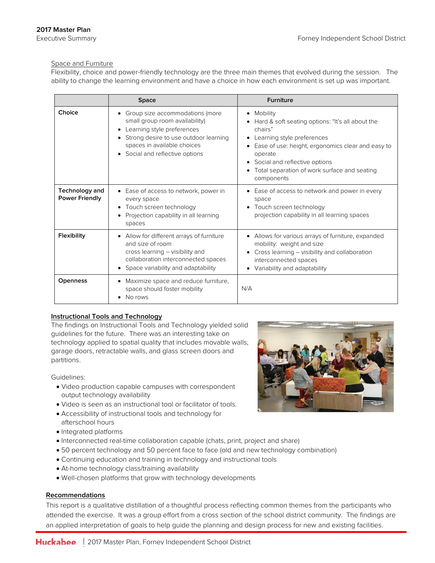#### Space and Furniture

Flexibility, choice and power-friendly technology are the three main themes that evolved during the session. The ability to change the learning environment and have a choice in how each environment is set up was important.

|                                         | <b>Space</b>                                                                                                                                                                                             | <b>Furniture</b>                                                                                                                                                                                                                                                         |  |
|-----------------------------------------|----------------------------------------------------------------------------------------------------------------------------------------------------------------------------------------------------------|--------------------------------------------------------------------------------------------------------------------------------------------------------------------------------------------------------------------------------------------------------------------------|--|
| Choice                                  | Group size accommodations (more<br>small group room availability)<br>Learning style preferences<br>Strong desire to use outdoor learning<br>spaces in available choices<br>Social and reflective options | • Mobility<br>Hard & soft seating options: "It's all about the<br>chairs"<br>Learning style preferences<br>Ease of use: height, ergonomics clear and easy to<br>operate<br>• Social and reflective options<br>Total separation of work surface and seating<br>components |  |
| Technology and<br><b>Power Friendly</b> | • Ease of access to network, power in<br>every space<br>Touch screen technology<br>Projection capability in all learning<br>spaces                                                                       | • Ease of access to network and power in every<br>space<br>Touch screen technology<br>projection capability in all learning spaces                                                                                                                                       |  |
| Flexibility                             | • Allow for different arrays of furniture<br>and size of room<br>cross learning - visibility and<br>collaboration interconnected spaces<br>Space variability and adaptability                            | • Allows for various arrays of furniture, expanded<br>mobility: weight and size<br>Cross learning - visibility and collaboration<br>interconnected spaces<br>Variability and adaptability                                                                                |  |
| <b>Openness</b>                         | Maximize space and reduce furniture,<br>space should foster mobility<br>No rows                                                                                                                          | N/A                                                                                                                                                                                                                                                                      |  |

#### **Instructional Tools and Technology**

The findings on Instructional Tools and Technology yielded solid guidelines for the future. There was an interesting take on technology applied to spatial quality that includes movable walls, garage doors, retractable walls, and glass screen doors and partitions.

Guidelines:

- Video production capable campuses with correspondent output technology availability
- Video is seen as an instructional tool or facilitator of tools.
- Accessibility of instructional tools and technology for afterschool hours
- Integrated platforms
- Interconnected real-time collaboration capable (chats, print, project and share)
- 50 percent technology and 50 percent face to face (old and new technology combination)
- Continuing education and training in technology and instructional tools
- At-home technology class/training availability
- Well-chosen platforms that grow with technology developments

#### **Recommendations**

This report is a qualitative distillation of a thoughtful process reflecting common themes from the participants who attended the exercise. It was a group effort from a cross section of the school district community. The findings are an applied interpretation of goals to help guide the planning and design process for new and existing facilities.

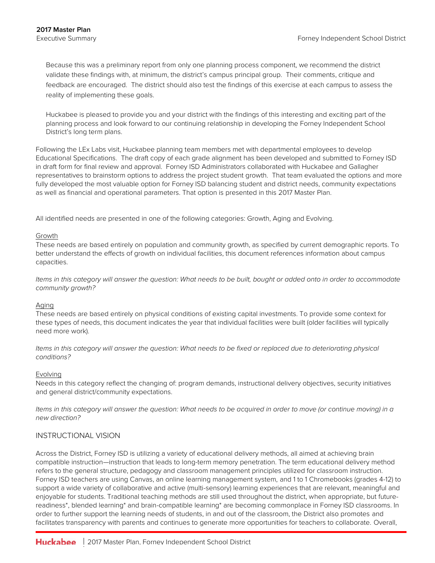Because this was a preliminary report from only one planning process component, we recommend the district validate these findings with, at minimum, the district's campus principal group. Their comments, critique and feedback are encouraged. The district should also test the findings of this exercise at each campus to assess the reality of implementing these goals.

Huckabee is pleased to provide you and your district with the findings of this interesting and exciting part of the planning process and look forward to our continuing relationship in developing the Forney Independent School District's long term plans.

Following the LEx Labs visit, Huckabee planning team members met with departmental employees to develop Educational Specifications. The draft copy of each grade alignment has been developed and submitted to Forney ISD in draft form for final review and approval. Forney ISD Administrators collaborated with Huckabee and Gallagher representatives to brainstorm options to address the project student growth. That team evaluated the options and more fully developed the most valuable option for Forney ISD balancing student and district needs, community expectations as well as financial and operational parameters. That option is presented in this 2017 Master Plan.

All identified needs are presented in one of the following categories: Growth, Aging and Evolving.

#### Growth

These needs are based entirely on population and community growth, as specified by current demographic reports. To better understand the effects of growth on individual facilities, this document references information about campus capacities.

*Items in this category will answer the question: What needs to be built, bought or added onto in order to accommodate community growth?* 

#### Aging

These needs are based entirely on physical conditions of existing capital investments. To provide some context for these types of needs, this document indicates the year that individual facilities were built (older facilities will typically need more work).

*Items in this category will answer the question: What needs to be fixed or replaced due to deteriorating physical conditions?* 

#### Evolving

Needs in this category reflect the changing of: program demands, instructional delivery objectives, security initiatives and general district/community expectations.

*Items in this category will answer the question: What needs to be acquired in order to move (or continue moving) in a new direction?*

#### INSTRUCTIONAL VISION

Across the District, Forney ISD is utilizing a variety of educational delivery methods, all aimed at achieving brain compatible instruction—instruction that leads to long-term memory penetration. The term educational delivery method refers to the general structure, pedagogy and classroom management principles utilized for classroom instruction. Forney ISD teachers are using Canvas, an online learning management system, and 1 to 1 Chromebooks (grades 4-12) to support a wide variety of collaborative and active (multi-sensory) learning experiences that are relevant, meaningful and enjoyable for students. Traditional teaching methods are still used throughout the district, when appropriate, but futurereadiness\*, blended learning\* and brain-compatible learning\* are becoming commonplace in Forney ISD classrooms. In order to further support the learning needs of students, in and out of the classroom, the District also promotes and facilitates transparency with parents and continues to generate more opportunities for teachers to collaborate. Overall,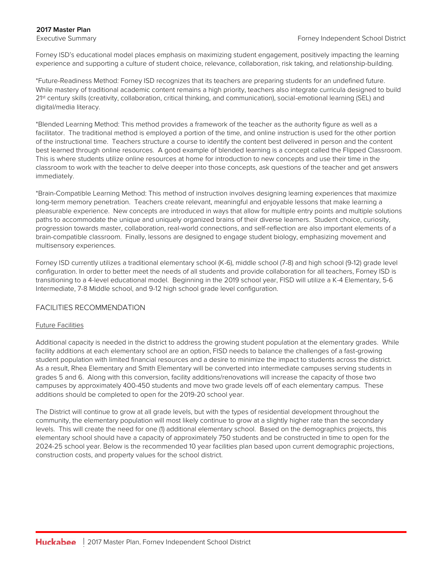#### **2017 Master Plan**

Forney ISD's educational model places emphasis on maximizing student engagement, positively impacting the learning experience and supporting a culture of student choice, relevance, collaboration, risk taking, and relationship-building.

\*Future-Readiness Method: Forney ISD recognizes that its teachers are preparing students for an undefined future. While mastery of traditional academic content remains a high priority, teachers also integrate curricula designed to build 21<sup>st</sup> century skills (creativity, collaboration, critical thinking, and communication), social-emotional learning (SEL) and digital/media literacy.

\*Blended Learning Method: This method provides a framework of the teacher as the authority figure as well as a facilitator. The traditional method is employed a portion of the time, and online instruction is used for the other portion of the instructional time. Teachers structure a course to identify the content best delivered in person and the content best learned through online resources. A good example of blended learning is a concept called the Flipped Classroom. This is where students utilize online resources at home for introduction to new concepts and use their time in the classroom to work with the teacher to delve deeper into those concepts, ask questions of the teacher and get answers immediately.

\*Brain-Compatible Learning Method: This method of instruction involves designing learning experiences that maximize long-term memory penetration. Teachers create relevant, meaningful and enjoyable lessons that make learning a pleasurable experience. New concepts are introduced in ways that allow for multiple entry points and multiple solutions paths to accommodate the unique and uniquely organized brains of their diverse learners. Student choice, curiosity, progression towards master, collaboration, real-world connections, and self-reflection are also important elements of a brain-compatible classroom. Finally, lessons are designed to engage student biology, emphasizing movement and multisensory experiences.

Forney ISD currently utilizes a traditional elementary school (K-6), middle school (7-8) and high school (9-12) grade level configuration. In order to better meet the needs of all students and provide collaboration for all teachers, Forney ISD is transitioning to a 4-level educational model. Beginning in the 2019 school year, FISD will utilize a K-4 Elementary, 5-6 Intermediate, 7-8 Middle school, and 9-12 high school grade level configuration.

#### FACILITIES RECOMMENDATION

#### Future Facilities

Additional capacity is needed in the district to address the growing student population at the elementary grades. While facility additions at each elementary school are an option, FISD needs to balance the challenges of a fast-growing student population with limited financial resources and a desire to minimize the impact to students across the district. As a result, Rhea Elementary and Smith Elementary will be converted into intermediate campuses serving students in grades 5 and 6. Along with this conversion, facility additions/renovations will increase the capacity of those two campuses by approximately 400-450 students and move two grade levels off of each elementary campus. These additions should be completed to open for the 2019-20 school year.

The District will continue to grow at all grade levels, but with the types of residential development throughout the community, the elementary population will most likely continue to grow at a slightly higher rate than the secondary levels. This will create the need for one (1) additional elementary school. Based on the demographics projects, this elementary school should have a capacity of approximately 750 students and be constructed in time to open for the 2024-25 school year. Below is the recommended 10 year facilities plan based upon current demographic projections, construction costs, and property values for the school district.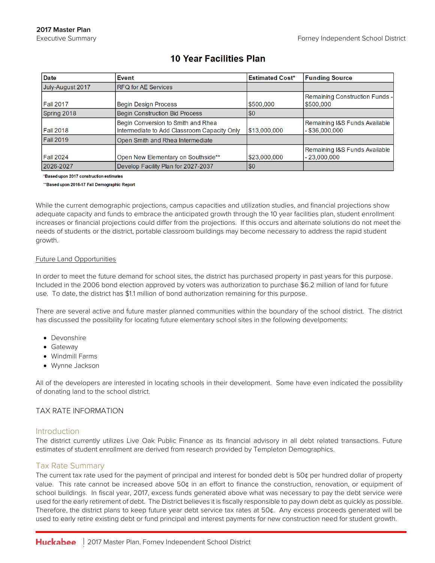| <b>Date</b>      | <b>I</b> Event                                                                    | <b>Estimated Cost*</b> | <b>Funding Source</b>                             |
|------------------|-----------------------------------------------------------------------------------|------------------------|---------------------------------------------------|
| July-August 2017 | <b>RFQ for AE Services</b>                                                        |                        |                                                   |
| Fall 2017        | Begin Design Process                                                              | \$500,000              | Remaining Construction Funds -<br>\$500,000       |
| Spring 2018      | <b>Begin Construction Bid Process</b>                                             | $\sqrt{50}$            |                                                   |
| Fall 2018        | Begin Conversion to Smith and Rhea<br>Intermediate to Add Classroom Capacity Only | \$13,000,000           | Remaining I&S Funds Available<br>$-$ \$36.000.000 |
| Fall 2019        | Open Smith and Rhea Intermediate                                                  |                        |                                                   |
| Fall 2024        | Open New Elementary on Southside**                                                | \$23,000,000           | Remaining I&S Funds Available<br>$-23,000,000$    |
| 2026-2027        | Develop Facility Plan for 2027-2037                                               | \$0                    |                                                   |

# **10 Year Facilities Plan**

\*Based upon 2017 construction estimates

\*\*Based upon 2016-17 Fall Demographic Report

While the current demographic projections, campus capacities and utilization studies, and financial projections show adequate capacity and funds to embrace the anticipated growth through the 10 year facilities plan, student enrollment increases or financial projections could differ from the projections. If this occurs and alternate solutions do not meet the needs of students or the district, portable classroom buildings may become necessary to address the rapid student growth.

#### Future Land Opportunities

In order to meet the future demand for school sites, the district has purchased property in past years for this purpose. Included in the 2006 bond election approved by voters was authorization to purchase \$6.2 million of land for future use. To date, the district has \$1.1 million of bond authorization remaining for this purpose.

There are several active and future master planned communities within the boundary of the school district. The district has discussed the possibility for locating future elementary school sites in the following develpoments:

- Devonshire
- Gateway
- Windmill Farms
- Wynne Jackson

All of the developers are interested in locating schools in their development. Some have even indicated the possibility of donating land to the school district.

#### TAX RATE INFORMATION

#### **Introduction**

The district currently utilizes Live Oak Public Finance as its financial advisory in all debt related transactions. Future estimates of student enrollment are derived from research provided by Templeton Demographics.

#### Tax Rate Summary

The current tax rate used for the payment of principal and interest for bonded debt is 50¢ per hundred dollar of property value. This rate cannot be increased above 50¢ in an effort to finance the construction, renovation, or equipment of school buildings. In fiscal year, 2017, excess funds generated above what was necessary to pay the debt service were used for the early retirement of debt. The District believes it is fiscally responsible to pay down debt as quickly as possible. Therefore, the district plans to keep future year debt service tax rates at 50¢. Any excess proceeds generated will be used to early retire existing debt or fund principal and interest payments for new construction need for student growth.